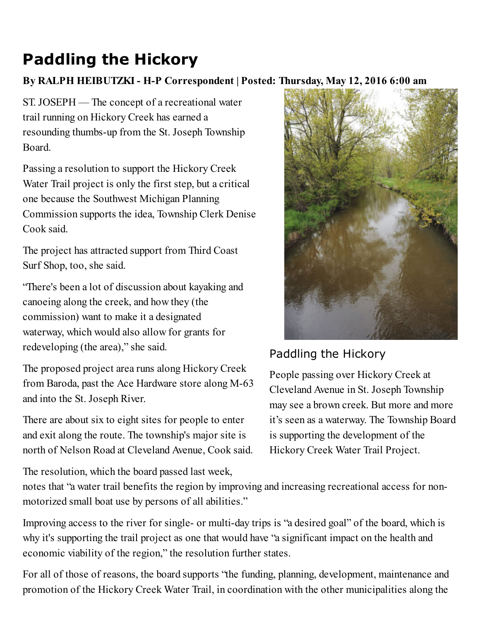## Paddling the Hickory

## By RALPH HEIBUTZKI - H-P Correspondent | Posted: Thursday, May 12, 2016 6:00 am

ST. JOSEPH — The concept of a recreational water trail running on Hickory Creek has earned a resounding thumbs-up from the St. Joseph Township Board.

Passing a resolution to support the Hickory Creek Water Trail project is only the first step, but a critical one because the Southwest Michigan Planning Commission supports the idea, Township Clerk Denise Cook said.

The project has attracted support from Third Coast Surf Shop, too, she said.

"There's been a lot of discussion about kayaking and canoeing along the creek, and how they (the commission) want to make it a designated waterway, which would also allow for grants for redeveloping (the area)," she said.

The proposed project area runs along Hickory Creek from Baroda, past the Ace Hardware store along  $M-63$ and into the St. Joseph River.

There are about six to eight sites for people to enter and exit along the route. The township's major site is north of Nelson Road at Cleveland Avenue, Cook said.

The resolution, which the board passed last week,



## Paddling the Hickory

People passing over Hickory Creek at Cleveland Avenue in St. Joseph Township may see a brown creek. But more and more it's seen as a waterway. The Township Board is supporting the development of the Hickory Creek Water Trail Project.

notes that "a water trail benefits the region by improving and increasing recreational access for nonmotorized small boat use by persons of all abilities."

Improving access to the river for single- or multi-day trips is "a desired goal" of the board, which is why it's supporting the trail project as one that would have "a significant impact on the health and economic viability of the region," the resolution further states.

For all of those of reasons, the board supports "the funding, planning, development, maintenance and promotion of the Hickory Creek Water Trail, in coordination with the other municipalities along the